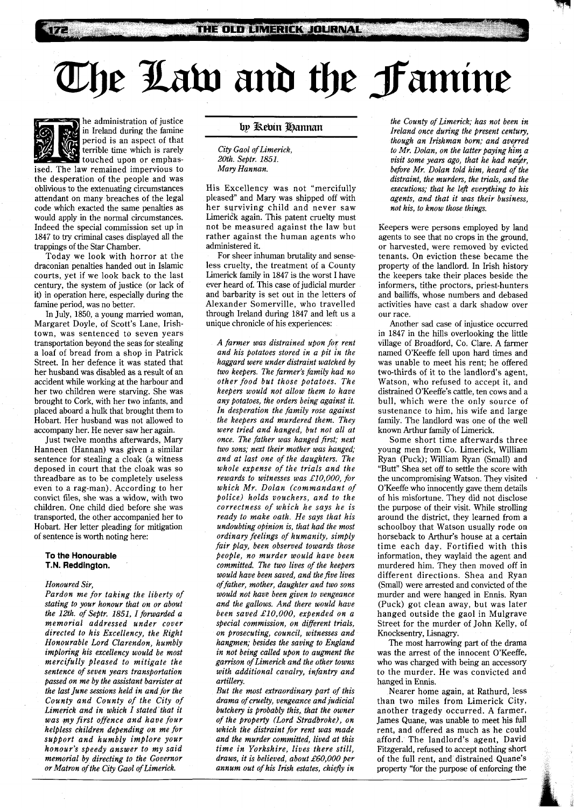# The Law and the Famine



he administration of justice in Ireland during the famine period is an aspect of that terrible time which is rarely touched upon or emphas-

ised. The law remained impervious to the desperation of the people and was oblivious to the extenuating circumstances attendant on many breaches of the legal code which exacted the same penalties as would apply in the normal circumstances. Indeed the special commission set up in 1847 to try criminal cases displayed all the trappings of the Star Chamber.

Today we look with horror at the draconian penalties handed out in Islamic courts, yet if we look back to the last century, the system of justice (or lack of it) in operation here, especially during the famine period, was no better.

In July, 1850, a young married woman, Margaret Doyle, of Scott's Lane, Irishtown, was sentenced to seven years transportation beyond the seas for stealing a loaf of bread from a shop in Patrick Street. In her defence it was stated that her husband was disabled as a result of an accident while working at the harbour and her two children were starving. She was brought to Cork, with her two infants, and placed aboard a hulk that brought them to Hobart. Her husband was not allowed to accompany her. He never saw her again.

Just twelve months afterwards, Mary Hanneen (Hannan) was given a similar sentence for stealing a cloak (a witness deposed in court that the cloak was so threadbare as to be completely useless even to a rag-man). According to her convict files, she was a widow, with two children. One child died before she was transported, the other accompanied her to Hobart. Her letter pleading for mitigation of sentence is worth noting here:

#### **To the Honourable T.N. Reddington.**

#### *Honoured Sir,*

*Pardon me for taking the liberty of stating to your honour that on or about the 12th. of Septr. 1851, I forwarded a memorial addressed under cover directed to his Excellency, the Right Honourable Lord Clarendon, humbly imploring his excellency would be most mercifully pleased to mitigate the sentence of seven years transportation passed on me by the assistant barrister at the last June sessions held in and for the County and County of the City of Limerick and in which I stated that it was my first offence and have four helpless children depending on me for support and humbly implore YOU7 honour's speedy answer to my said memorial by directing to the Governor or Matron of the City Gaol of Limerick.* 

#### bp Kebin Hamnan

*City Gaol of Limerick,*  20th. *Septr. 1851. Mary Hannan.* 

His Excellency was not "mercifully pleased" and Mary was shipped off with her surviving child and never saw Limerick again. This patent cruelty must not be measured against the law but rather against the human agents who administered it.

For sheer inhuman brutality and senseless cruelty, the treatment of a County Limerick family in 1847 is the worst I have ever heard of. This case of judicial murder and barbarity is set out in the letters of Alexander Somerville, who travelled through Ireland during 1847 and left us a unique chronicle of his experiences:

*A farmer was distrained upon for rent and his potatoes stored in a pit in the haggard were under distraint watched by two keepers. The farmer's family had no other food but those potatoes. The keepers would not allow them to have any potatoes, the orders being against it. In desperation the family rose against the keepers and murdered them. They were tried and hanged, but not all at once. The father was hanged first; next two sons; next their mother was hanged; and at last one of the daughters. The whole expense of the trials and the rewards to witnesses was £10,000, for which Mr. Dolan (commandant of police) holds vouchers, and to the correctness of which he says he is ready to make oath. He says that his undoubting opinion is, that had the most ordinary feelings of humanity, simply fair play, been observed towards those people, no murder would have been committed. The two lives of the keepers would have been saved, and the five lives offather, mother, daughter and two sons would not have been given to vengeance and the gallows. And there would have been saved £10,000, expended on a special commission, on different trials, on prosecuting, council, witnesses and hangmen; besides the saving to England in not being called upon to augment the garrison of Limerick and the other towns with additional cavalry, infantry and artillery.* 

*But the most extraordinary part of this drama of cruelty, vengeance and judicial butchery is probably this, that the owner of the property (Lord Stradbroke), on which the distraint for rent was made and the murder committed, lived at this time in Yorkshire, lives there still, draws, it is believed, about £60,000 per annum out of his Irish estates, chiefly in* 

*the County of Limerick; has not been in Ireland once during the present century, though an Irishman born; and avepred to Mr. Dolan, on the latter paying him a visit some years ago, that he had never, before Mr. Dolan told him, heard of the distraint, the murders, the trials, and the executions; that he left everything to his agents, and that it was their business, not his, to know those things.* 

Keepers were persons employed by land agents to see that no crops in the ground, or harvested, were removed by evicted tenants. On eviction these became the property of the landlord. In Irish history the keepers take their places beside the informers, tithe proctors, priest-hunters and bailiffs, whose numbers and debased activities have cast a dark shadow over our race.

Another sad case of injustice occurred in 1847 in the hills overlooking the little village of Broadford, Co. Clare. A farmer named O'Keeffe fell upon hard times and was unable to meet his rent; he offered two-thirds of it to the landlord's agent, Watson, who refused to accept it, and distrained O'Keeffe's cattle, ten cows and a bull, which were the only source of sustenance to him, his wife and large family. The landlord was one of the well known Arthur family of Limerick.

Some short time afterwards three young men from Co. Limerick, William Ryan (Puck); William Ryan (Small) and "Butt" Shea set off to settle the score with the uncompromising Watson. They visited O'Keeffe who innocently gave them details of his misfortune. They did not disclose the purpose of their visit. While strolling around the district, they learned from a schoolboy that Watson usually rode on horseback to Arthur's house at a certain time each day. Fortified with this information, they waylaid the agent and murdered him. They then moved off in different directions. Shea and Ryan (Small) were arrested and convicted of the murder and were hanged in Ennis. Ryan (Puck) got clean away, but was later hanged outside the gaol in Mulgrave Street for the murder of John Kelly, of Knocksentry, Lisnagry.

The most harrowing part of the drama was the arrest of the innocent O'Keeffe, who was charged with being an accessory to the murder. He was convicted and hanged in Ennis.

Nearer home again, at Rathurd, less than two miles from Limerick City, another tragedy occurred. A farmer, James Quane, was unable to meet his full rent, and offered as much as he could afford. The landlord's agent, David Fitzgerald, refused to accept nothing short of the full rent, and distrained Quane's property "for the purpose of enforcing the